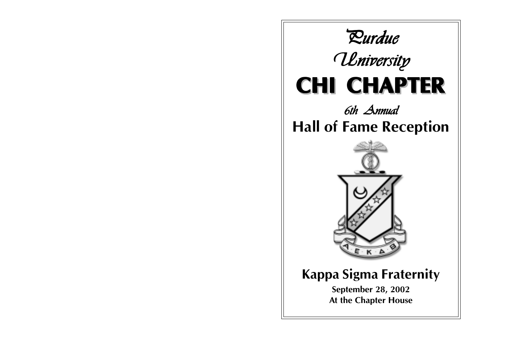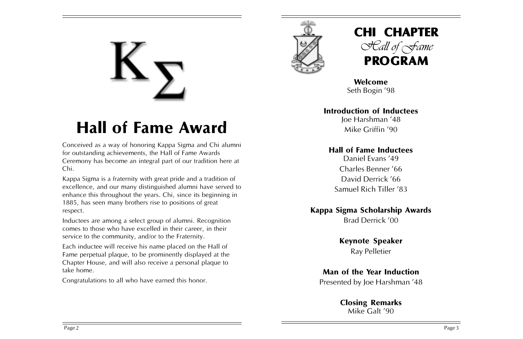# **Hall of Fame Award**

Conceived as a way of honoring Kappa Sigma and Chi alumni for outstanding achievements, the Hall of Fame Awards Ceremony has become an integral part of our tradition here at Chi.

Kappa Sigma is a fraternity with great pride and a tradition of excellence, and our many distinguished alumni have served to enhance this throughout the years. Chi, since its beginning in 1885, has seen many brothers rise to positions of great respect.

Inductees are among a select group of alumni. Recognition comes to those who have excelled in their career, in their service to the community, and/or to the Fraternity.

Each inductee will receive his name placed on the Hall of Fame perpetual plaque, to be prominently displayed at the Chapter House, and will also receive a personal plaque to take home.

Congratulations to all who have earned this honor.





**Welcome** Seth Bogin '98

### **Introduction of Inductees**

Joe Harshman í48 Mike Griffin '90

### **Hall of Fame Inductees**

Daniel Evans '49 Charles Benner í66 David Derrick '66 Samuel Rich Tiller '83

### **Kappa Sigma Scholarship Awards**

Brad Derrick í00

### **Keynote Speaker**

Ray Pelletier

### **Man of the Year Induction**

Presented by Joe Harshman '48

## **Closing Remarks**

Mike Galt '90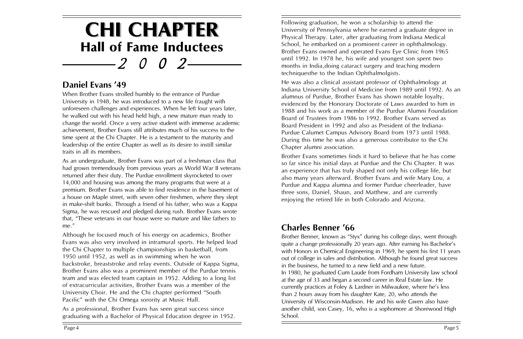# **CHI CHAPTER CHI CHAPTER** *200 2* **Hall of Fame Inductees**

### Daniel Evans '49

When Brother Evans strolled humbly to the entrance of Purdue University in 1948, he was introduced to a new life fraught with unforeseen challenges and experiences. When he left four years later, he walked out with his head held high, a new mature man ready to change the world. Once a very active student with immense academic achievement, Brother Evans still attributes much of his success to the time spent at the Chi Chapter. He is a testament to the maturity and leadership of the entire Chapter as well as its desire to instill similar traits in all its members.

As an undergraduate, Brother Evans was part of a freshman class that had grown tremendously from previous years as World War II veterans returned after their duty. The Purdue enrollment skyrocketed to over 14,000 and housing was among the many programs that were at a premium. Brother Evans was able to find residence in the basement of a house on Maple street, with seven other freshmen, where they slept in make-shift bunks. Through a friend of his father, who was a Kappa Sigma, he was rescued and pledged during rush. Brother Evans wrote that, "These veterans in our house were so mature and like fathers to me.<sup>"</sup>

Although he focused much of his energy on academics, Brother Evans was also very involved in intramural sports. He helped lead the Chi Chapter to multiple championships in basketball, from 1950 until 1952, as well as in swimming when he won backstroke, breaststroke and relay events. Outside of Kappa Sigma, Brother Evans also was a prominent member of the Purdue tennis team and was elected team captain in 1952. Adding to a long list of extracurricular activities, Brother Evans was a member of the University Choir. He and the Chi chapter performed "South Pacific" with the Chi Omega sorority at Music Hall.

As a professional, Brother Evans has seen great success since graduating with a Bachelor of Physical Education degree in 1952. Following graduation, he won a scholarship to attend the University of Pennsylvania where he earned a graduate degree in Physical Therapy. Later, after graduating from Indiana Medical School, he embarked on a prominent career in ophthalmology. Brother Evans owned and operated Evans Eye Clinic from 1965 until 1992. In 1978 he, his wife and youngest son spent two months in India,doing cataract surgery and teaching modern techniquesthe to the Indian Ophthalmolgists.

He was also a clinical assistant professor of Ophthalmology at Indiana University School of Medicine from 1989 until 1992. As an alumnus of Purdue, Brother Evans has shown notable loyalty, evidenced by the Honorary Doctorate of Laws awarded to him in 1988 and his work as a member of the Purdue Alumni Foundation Board of Trustees from 1986 to 1992. Brother Evans served as Board President in 1992 and also as President of the Indiana-Purdue Calumet Campus Advisory Board from 1973 until 1988. During this time he was also a generous contributor to the Chi Chapter alumni association.

Brother Evans sometimes finds it hard to believe that he has come so far since his initial days at Purdue and the Chi Chapter. It was an experience that has truly shaped not only his college life, but also many years afterward. Brother Evans and wife Mary Lou, a Purdue and Kappa alumna and former Purdue cheerleader, have three sons, Daniel, Shaun, and Matthew, and are currently enjoying the retired life in both Colorado and Arizona.

### **Charles Benner í66**

Brother Benner, known as "Styx" during his college days, went through quite a change professionally 20 years ago. After earning his Bachelor's with Honors in Chemical Engineering in 1969, he spent his first 11 years out of college in sales and distribution. Although he found great success in the business, he turned to a new field and a new future. In 1980, he graduated Cum Laude from Fordham University law school at the age of 33 and began a second career in Real Estate law. He currently practices at Foley & Lardner in Milwaukee, where he's less than 2 hours away from his daughter Kate, 20, who attends the University of Wisconsin-Madison. He and his wife Gwen also have another child, son Casey, 16, who is a sophomore at Shorewood High School.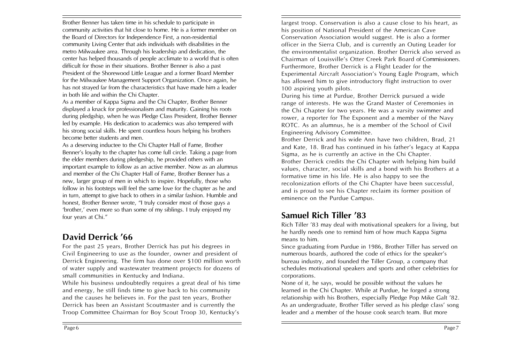Brother Benner has taken time in his schedule to participate in community activities that hit close to home. He is a former member on the Board of Directors for Independence First, a non-residential community Living Center that aids individuals with disabilities in the metro Milwaukee area. Through his leadership and dedication, the center has helped thousands of people acclimate to a world that is often difficult for those in their situations. Brother Benner is also a past President of the Shorewood Little League and a former Board Member for the Milwaukee Management Support Organization. Once again, he has not strayed far from the characteristics that have made him a leader in both life and within the Chi Chapter.

As a member of Kappa Sigma and the Chi Chapter, Brother Benner displayed a knack for professionalism and maturity. Gaining his roots during pledgship, when he was Pledge Class President, Brother Benner led by example. His dedication to academics was also tempered with his strong social skills. He spent countless hours helping his brothers become better students and men.

As a deserving inductee to the Chi Chapter Hall of Fame, Brother Benner's loyalty to the chapter has come full circle. Taking a page from the elder members during pledgeship, he provided others with an important example to follow as an active member. Now as an alumnus and member of the Chi Chapter Hall of Fame, Brother Benner has a new, larger group of men in which to inspire. Hopefully, those who follow in his footsteps will feel the same love for the chapter as he and in turn, attempt to give back to others in a similar fashion. Humble and honest. Brother Benner wrote, "I truly consider most of those guys a 'brother,' even more so than some of my siblings. I truly enjoyed my four years at Chi.<sup>"</sup>

### **David Derrick í66**

For the past 25 years, Brother Derrick has put his degrees in Civil Engineering to use as the founder, owner and president of Derrick Engineering. The firm has done over \$100 million worth of water supply and wastewater treatment projects for dozens of small communities in Kentucky and Indiana.

While his business undoubtedly requires a great deal of his time and energy, he still finds time to give back to his community and the causes he believes in. For the past ten years, Brother Derrick has been an Assistant Scoutmaster and is currently the Troop Committee Chairman for Boy Scout Troop 30, Kentuckyís

largest troop. Conservation is also a cause close to his heart, as his position of National President of the American Cave Conservation Association would suggest. He is also a former officer in the Sierra Club, and is currently an Outing Leader for the environmentalist organization. Brother Derrick also served as Chairman of Louisvilleís Otter Creek Park Board of Commissioners. Furthermore, Brother Derrick is a Flight Leader for the Experimental Aircraft Association's Young Eagle Program, which has allowed him to give introductory flight instruction to over 100 aspiring youth pilots.

During his time at Purdue, Brother Derrick pursued a wide range of interests. He was the Grand Master of Ceremonies in the Chi Chapter for two years. He was a varsity swimmer and rower, a reporter for The Exponent and a member of the Navy ROTC. As an alumnus, he is a member of the School of Civil Engineering Advisory Committee.

Brother Derrick and his wide Ann have two children, Brad, 21 and Kate, 18. Brad has continued in his father's legacy at Kappa Sigma, as he is currently an active in the Chi Chapter. Brother Derrick credits the Chi Chapter with helping him build values, character, social skills and a bond with his Brothers at a formative time in his life. He is also happy to see the recolonization efforts of the Chi Chapter have been successful, and is proud to see his Chapter reclaim its former position of eminence on the Purdue Campus.

### **Samuel Rich Tiller í83**

Rich Tiller '83 may deal with motivational speakers for a living, but he hardly needs one to remind him of how much Kappa Sigma means to him.

Since graduating from Purdue in 1986, Brother Tiller has served on numerous boards, authored the code of ethics for the speaker's bureau industry, and founded the Tiller Group, a company that schedules motivational speakers and sports and other celebrities for corporations.

None of it, he says, would be possible without the values he learned in the Chi Chapter. While at Purdue, he forged a strong relationship with his Brothers, especially Pledge Pop Mike Galt '82. As an undergraduate, Brother Tiller served as his pledge class' song leader and a member of the house cook search team. But more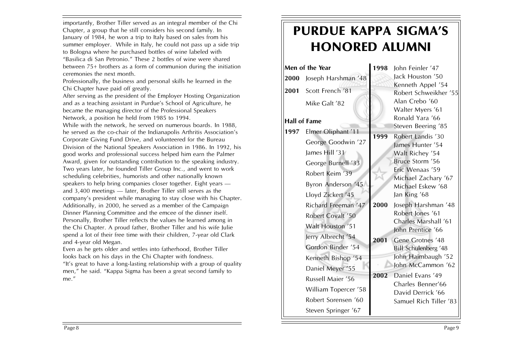importantly, Brother Tiller served as an integral member of the Chi Chapter, a group that he still considers his second family. In January of 1984, he won a trip to Italy based on sales from his summer employer. While in Italy, he could not pass up a side trip to Bologna where he purchased bottles of wine labeled with "Basilica di San Petronio." These 2 bottles of wine were shared between 75+ brothers as a form of communion during the initiation ceremonies the next month.

Professionally, the business and personal skills he learned in the Chi Chapter have paid off greatly.

After serving as the president of the Employer Hosting Organization and as a teaching assistant in Purdue's School of Agriculture, he became the managing director of the Professional Speakers Network, a position he held from 1985 to 1994.

While with the network, he served on numerous boards. In 1988, he served as the co-chair of the Indianapolis Arthritis Association's Corporate Giving Fund Drive, and volunteered for the Bureau Division of the National Speakers Association in 1986. In 1992, his good works and professional success helped him earn the Palmer Award, given for outstanding contribution to the speaking industry. Two years later, he founded Tiller Group Inc., and went to work scheduling celebrities, humorists and other nationally known speakers to help bring companies closer together. Eight years  $$ and  $3,400$  meetings  $-$  later, Brother Tiller still serves as the company's president while managing to stay close with his Chapter. Additionally, in 2000, he served as a member of the Campaign Dinner Planning Committee and the emcee of the dinner itself. Personally, Brother Tiller reflects the values he learned among in the Chi Chapter. A proud father, Brother Tiller and his wife Julie spend a lot of their free time with their children, 7-year old Clark and 4-year old Megan.

Even as he gets older and settles into fatherhood, Brother Tiller looks back on his days in the Chi Chapter with fondness. "It's great to have a long-lasting relationship with a group of quality men," he said. "Kappa Sigma has been a great second family to me."

# **PURDUE KAPPA SIGMAíS HONORED ALUMNI**

| Men of the Year |                      | 1998 | John Feinler '47                           |
|-----------------|----------------------|------|--------------------------------------------|
| 2000            | Joseph Harshman '48  |      | lack Houston '50                           |
| 2001            | Scott French '81     |      | Kenneth Appel '54<br>Robert Schweikher '55 |
|                 | Mike Galt '82        |      | Alan Crebo '60<br>Walter Myers '61         |
| Hall of Fame    |                      |      | Ronald Yara '66                            |
| 1997            | Elmer Oliphant '11   | 1999 | Steven Beering '85<br>Robert Landis '30    |
|                 | George Goodwin '27   |      | James Hunter '54                           |
|                 | James Hill '31       |      | Walt Richey '54                            |
|                 | George Burnell '33   |      | Bruce Storm '56                            |
|                 | Robert Keim '39      |      | Eric Wenaas '59<br>Michael Zachary '67     |
|                 | Byron Anderson '45   |      | Michael Eskew '68                          |
|                 | Lloyd Zickert '45    |      | Jan King '68                               |
|                 | Richard Freeman '47  | 2000 | Joseph Harshman '48                        |
|                 | Robert Covalt '50    |      | Robert Jones '61<br>Charles Marshall '61   |
|                 | Walt Houston '51     |      | John Prentice '66                          |
|                 | Jerry Albrecht '54   | 2001 | Gene Grotnes '48                           |
|                 | Gordon Binder '54    |      | Bill Schulenberg '48                       |
|                 | Kenneth Bishop '54   |      | John Haimbaugh '52                         |
|                 | Daniel Meyer '55     |      | John McCammon '62                          |
|                 | Russell Maier '56    | 2002 | Daniel Evans '49<br>Charles Benner'66      |
|                 | William Topercer '58 |      | David Derrick '66                          |
|                 | Robert Sorensen '60  |      | Samuel Rich Tiller '83                     |
|                 | Steven Springer '67  |      |                                            |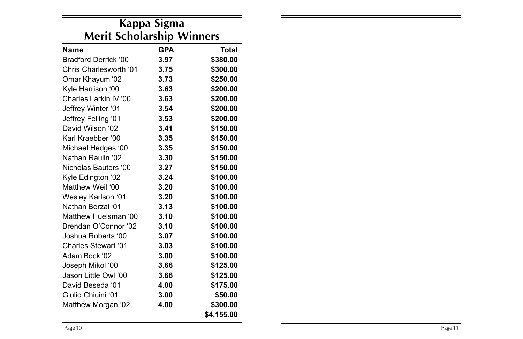| Kappa Sigma<br><b>Merit Scholarship Winners</b> |      |            |  |  |
|-------------------------------------------------|------|------------|--|--|
|                                                 |      |            |  |  |
| Bradford Derrick '00                            | 3.97 | \$380.00   |  |  |
| Chris Charlesworth '01                          | 3.75 | \$300.00   |  |  |
| Omar Khayum '02                                 | 3.73 | \$250.00   |  |  |
| Kyle Harrison '00                               | 3.63 | \$200.00   |  |  |
| Charles Larkin IV '00                           | 3.63 | \$200.00   |  |  |
| Jeffrey Winter '01                              | 3.54 | \$200.00   |  |  |
| Jeffrey Felling '01                             | 3.53 | \$200.00   |  |  |
| David Wilson '02                                | 3.41 | \$150.00   |  |  |
| Karl Kraebber '00                               | 3.35 | \$150.00   |  |  |
| Michael Hedges '00                              | 3.35 | \$150.00   |  |  |
| Nathan Raulin '02                               | 3.30 | \$150.00   |  |  |
| Nicholas Bauters '00                            | 3.27 | \$150.00   |  |  |
| Kyle Edington '02                               | 3.24 | \$100.00   |  |  |
| Matthew Weil '00                                | 3.20 | \$100.00   |  |  |
| <b>Wesley Karlson '01</b>                       | 3.20 | \$100.00   |  |  |
| Nathan Berzai '01                               | 3.13 | \$100.00   |  |  |
| Matthew Huelsman '00                            | 3.10 | \$100.00   |  |  |
| Brendan O'Connor '02                            | 3.10 | \$100.00   |  |  |
| Joshua Roberts '00                              | 3.07 | \$100.00   |  |  |
| Charles Stewart '01                             | 3.03 | \$100.00   |  |  |
| Adam Bock '02                                   | 3.00 | \$100.00   |  |  |
| Joseph Mikol '00                                | 3.66 | \$125.00   |  |  |
| Jason Little Owl '00                            | 3.66 | \$125.00   |  |  |
| David Beseda '01                                | 4.00 | \$175.00   |  |  |
| Giulio Chiuini '01                              | 3.00 | \$50.00    |  |  |
| Matthew Morgan '02                              | 4.00 | \$300.00   |  |  |
|                                                 |      | \$4.155.00 |  |  |

-